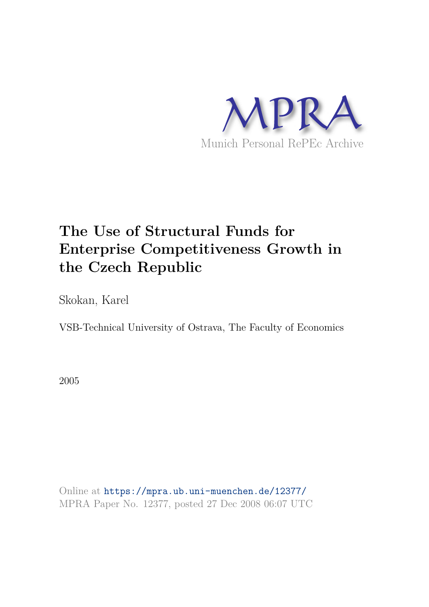

# **The Use of Structural Funds for Enterprise Competitiveness Growth in the Czech Republic**

Skokan, Karel

VSB-Technical University of Ostrava, The Faculty of Economics

2005

Online at https://mpra.ub.uni-muenchen.de/12377/ MPRA Paper No. 12377, posted 27 Dec 2008 06:07 UTC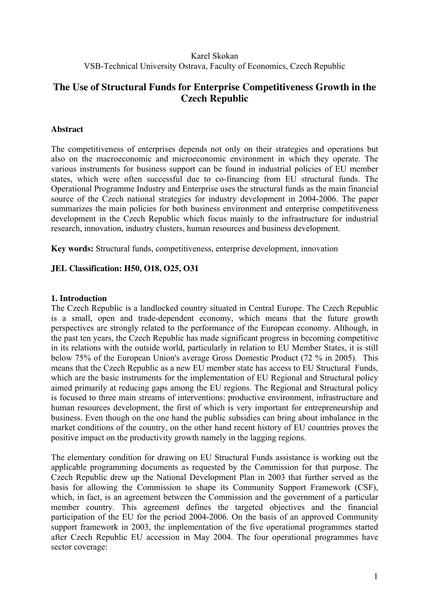## Karel Skokan VSB-Technical University Ostrava, Faculty of Economics, Czech Republic

# **The Use of Structural Funds for Enterprise Competitiveness Growth in the Czech Republic**

## **Abstract**

The competitiveness of enterprises depends not only on their strategies and operations but also on the macroeconomic and microeconomic environment in which they operate. The various instruments for business support can be found in industrial policies of EU member states, which were often successful due to co-financing from EU structural funds. The Operational Programme Industry and Enterprise uses the structural funds as the main financial source of the Czech national strategies for industry development in 2004-2006. The paper summarizes the main policies for both business environment and enterprise competitiveness development in the Czech Republic which focus mainly to the infrastructure for industrial research, innovation, industry clusters, human resources and business development.

**Key words:** Structural funds, competitiveness, enterprise development, innovation

#### **JEL Classification: H50, O18, O25, O31**

#### **1. Introduction**

The Czech Republic is a landlocked country situated in Central Europe. The Czech Republic is a small, open and trade-dependent economy, which means that the future growth perspectives are strongly related to the performance of the European economy. Although, in the past ten years, the Czech Republic has made significant progress in becoming competitive in its relations with the outside world, particularly in relation to EU Member States, it is still below 75% of the European Union's average Gross Domestic Product (72 % in 2005). This means that the Czech Republic as a new EU member state has access to EU Structural Funds. which are the basic instruments for the implementation of EU Regional and Structural policy aimed primarily at reducing gaps among the EU regions. The Regional and Structural policy is focused to three main streams of interventions: productive environment, infrastructure and human resources development, the first of which is very important for entrepreneurship and business. Even though on the one hand the public subsidies can bring about imbalance in the market conditions of the country, on the other hand recent history of EU countries proves the positive impact on the productivity growth namely in the lagging regions.

The elementary condition for drawing on EU Structural Funds assistance is working out the applicable programming documents as requested by the Commission for that purpose. The Czech Republic drew up the National Development Plan in 2003 that further served as the basis for allowing the Commission to shape its Community Support Framework (CSF), which, in fact, is an agreement between the Commission and the government of a particular member country. This agreement defines the targeted objectives and the financial participation of the EU for the period 2004-2006. On the basis of an approved Community support framework in 2003, the implementation of the five operational programmes started after Czech Republic EU accession in May 2004. The four operational programmes have sector coverage: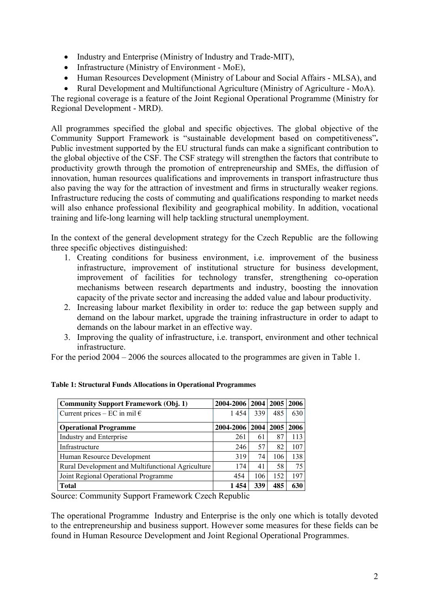- Industry and Enterprise (Ministry of Industry and Trade-MIT),
- Infrastructure (Ministry of Environment MoE),
- Human Resources Development (Ministry of Labour and Social Affairs MLSA), and
- Rural Development and Multifunctional Agriculture (Ministry of Agriculture MoA).

The regional coverage is a feature of the Joint Regional Operational Programme (Ministry for Regional Development - MRD).

All programmes specified the global and specific objectives. The global objective of the Community Support Framework is "sustainable development based on competitiveness"**.**  Public investment supported by the EU structural funds can make a significant contribution to the global objective of the CSF. The CSF strategy will strengthen the factors that contribute to productivity growth through the promotion of entrepreneurship and SMEs, the diffusion of innovation, human resources qualifications and improvements in transport infrastructure thus also paving the way for the attraction of investment and firms in structurally weaker regions. Infrastructure reducing the costs of commuting and qualifications responding to market needs will also enhance professional flexibility and geographical mobility. In addition, vocational training and life-long learning will help tackling structural unemployment.

In the context of the general development strategy for the Czech Republic are the following three specific objectives distinguished:

- 1. Creating conditions for business environment, i.e. improvement of the business infrastructure, improvement of institutional structure for business development, improvement of facilities for technology transfer, strengthening co-operation mechanisms between research departments and industry, boosting the innovation capacity of the private sector and increasing the added value and labour productivity.
- 2. Increasing labour market flexibility in order to: reduce the gap between supply and demand on the labour market, upgrade the training infrastructure in order to adapt to demands on the labour market in an effective way.
- 3. Improving the quality of infrastructure, i.e. transport, environment and other technical infrastructure.

For the period 2004 – 2006 the sources allocated to the programmes are given in Table 1.

| <b>Community Support Framework (Obj. 1)</b>       | 2004-2006   2004   2005 |     |      | 2006 |
|---------------------------------------------------|-------------------------|-----|------|------|
| Current prices – EC in mil $\epsilon$             | 1454                    | 339 | 485  | 630  |
| <b>Operational Programme</b>                      | 2004-2006 2004          |     | 2005 | 2006 |
| Industry and Enterprise                           | 261                     | 61  | 87   | 113  |
| Infrastructure                                    | 246                     | 57  | 82   | 107  |
| Human Resource Development                        | 319                     | 74  | 106  | 138  |
| Rural Development and Multifunctional Agriculture | 174                     | 41  | 58   | 75   |
| Joint Regional Operational Programme              | 454                     | 106 | 152  | 197  |
| <b>Total</b>                                      | 1454                    | 339 | 485  | 630  |

#### **Table 1: Structural Funds Allocations in Operational Programmes**

Source: Community Support Framework Czech Republic

The operational Programme Industry and Enterprise is the only one which is totally devoted to the entrepreneurship and business support. However some measures for these fields can be found in Human Resource Development and Joint Regional Operational Programmes.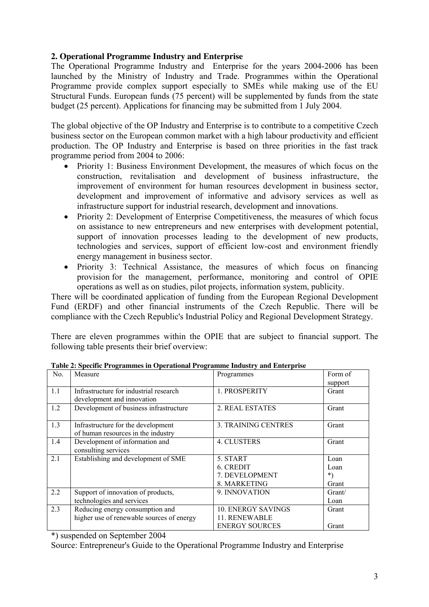## **2. Operational Programme Industry and Enterprise**

The Operational Programme Industry and Enterprise for the years 2004-2006 has been launched by the Ministry of Industry and Trade. Programmes within the Operational Programme provide complex support especially to SMEs while making use of the EU Structural Funds. European funds (75 percent) will be supplemented by funds from the state budget (25 percent). Applications for financing may be submitted from 1 July 2004.

The global objective of the OP Industry and Enterprise is to contribute to a competitive Czech business sector on the European common market with a high labour productivity and efficient production. The OP Industry and Enterprise is based on three priorities in the fast track programme period from 2004 to 2006:

- Priority 1: Business Environment Development, the measures of which focus on the construction, revitalisation and development of business infrastructure, the improvement of environment for human resources development in business sector, development and improvement of informative and advisory services as well as infrastructure support for industrial research, development and innovations.
- Priority 2: Development of Enterprise Competitiveness, the measures of which focus on assistance to new entrepreneurs and new enterprises with development potential, support of innovation processes leading to the development of new products, technologies and services, support of efficient low-cost and environment friendly energy management in business sector.
- Priority 3: Technical Assistance, the measures of which focus on financing provision for the management, performance, monitoring and control of OPIE operations as well as on studies, pilot projects, information system, publicity.

There will be coordinated application of funding from the European Regional Development Fund (ERDF) and other financial instruments of the Czech Republic. There will be compliance with the Czech Republic's Industrial Policy and Regional Development Strategy.

There are eleven programmes within the OPIE that are subject to financial support. The following table presents their brief overview:

| No. | Measure                                   | Programmes                | Form of |
|-----|-------------------------------------------|---------------------------|---------|
|     |                                           |                           | support |
| 1.1 | Infrastructure for industrial research    | 1. PROSPERITY             | Grant   |
|     | development and innovation                |                           |         |
| 1.2 | Development of business infrastructure    | 2. REAL ESTATES           | Grant   |
|     |                                           |                           |         |
| 1.3 | Infrastructure for the development        | 3. TRAINING CENTRES       | Grant   |
|     | of human resources in the industry        |                           |         |
| 1.4 | Development of information and            | 4. CLUSTERS               | Grant   |
|     | consulting services                       |                           |         |
| 2.1 | Establishing and development of SME       | 5. START                  | Loan    |
|     |                                           | 6. CREDIT                 | Loan    |
|     |                                           | 7. DEVELOPMENT            | *)      |
|     |                                           | 8. MARKETING              | Grant   |
| 2.2 | Support of innovation of products,        | 9. INNOVATION             | Grant/  |
|     | technologies and services                 |                           | Loan    |
| 2.3 | Reducing energy consumption and           | <b>10. ENERGY SAVINGS</b> | Grant   |
|     | higher use of renewable sources of energy | 11. RENEWABLE             |         |
|     |                                           | <b>ENERGY SOURCES</b>     | Grant   |

**Table 2: Specific Programmes in Operational Programme Industry and Enterprise** 

\*) suspended on September 2004

Source: Entrepreneur's Guide to the Operational Programme Industry and Enterprise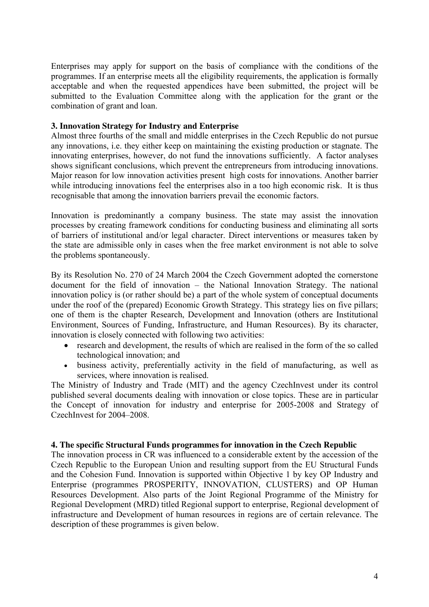Enterprises may apply for support on the basis of compliance with the conditions of the programmes. If an enterprise meets all the eligibility requirements, the application is formally acceptable and when the requested appendices have been submitted, the project will be submitted to the Evaluation Committee along with the application for the grant or the combination of grant and loan.

#### **3. Innovation Strategy for Industry and Enterprise**

Almost three fourths of the small and middle enterprises in the Czech Republic do not pursue any innovations, i.e. they either keep on maintaining the existing production or stagnate. The innovating enterprises, however, do not fund the innovations sufficiently. A factor analyses shows significant conclusions, which prevent the entrepreneurs from introducing innovations. Major reason for low innovation activities present high costs for innovations. Another barrier while introducing innovations feel the enterprises also in a too high economic risk. It is thus recognisable that among the innovation barriers prevail the economic factors.

Innovation is predominantly a company business. The state may assist the innovation processes by creating framework conditions for conducting business and eliminating all sorts of barriers of institutional and/or legal character. Direct interventions or measures taken by the state are admissible only in cases when the free market environment is not able to solve the problems spontaneously.

By its Resolution No. 270 of 24 March 2004 the Czech Government adopted the cornerstone document for the field of innovation – the National Innovation Strategy. The national innovation policy is (or rather should be) a part of the whole system of conceptual documents under the roof of the (prepared) Economic Growth Strategy. This strategy lies on five pillars; one of them is the chapter Research, Development and Innovation (others are Institutional Environment, Sources of Funding, Infrastructure, and Human Resources). By its character, innovation is closely connected with following two activities:

- research and development, the results of which are realised in the form of the so called technological innovation; and
- business activity, preferentially activity in the field of manufacturing, as well as services, where innovation is realised.

The Ministry of Industry and Trade (MIT) and the agency CzechInvest under its control published several documents dealing with innovation or close topics. These are in particular the Concept of innovation for industry and enterprise for 2005-2008 and Strategy of CzechInvest for 2004–2008.

#### **4. The specific Structural Funds programmes for innovation in the Czech Republic**

The innovation process in CR was influenced to a considerable extent by the accession of the Czech Republic to the European Union and resulting support from the EU Structural Funds and the Cohesion Fund. Innovation is supported within Objective 1 by key OP Industry and Enterprise (programmes PROSPERITY, INNOVATION, CLUSTERS) and OP Human Resources Development. Also parts of the Joint Regional Programme of the Ministry for Regional Development (MRD) titled Regional support to enterprise, Regional development of infrastructure and Development of human resources in regions are of certain relevance. The description of these programmes is given below.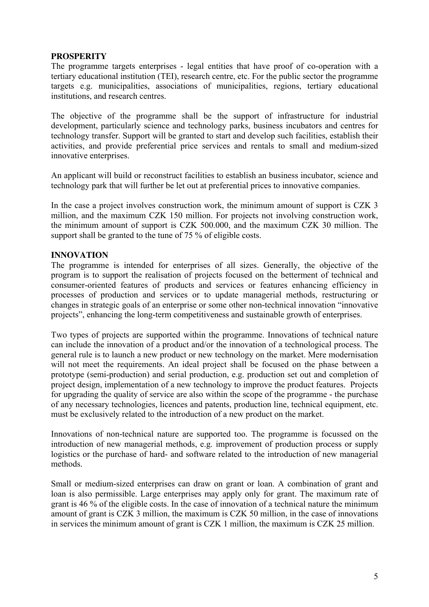### **PROSPERITY**

The programme targets enterprises - legal entities that have proof of co-operation with a tertiary educational institution (TEI), research centre, etc. For the public sector the programme targets e.g. municipalities, associations of municipalities, regions, tertiary educational institutions, and research centres.

The objective of the programme shall be the support of infrastructure for industrial development, particularly science and technology parks, business incubators and centres for technology transfer. Support will be granted to start and develop such facilities, establish their activities, and provide preferential price services and rentals to small and medium-sized innovative enterprises.

An applicant will build or reconstruct facilities to establish an business incubator, science and technology park that will further be let out at preferential prices to innovative companies.

In the case a project involves construction work, the minimum amount of support is CZK 3 million, and the maximum CZK 150 million. For projects not involving construction work, the minimum amount of support is CZK 500.000, and the maximum CZK 30 million. The support shall be granted to the tune of 75 % of eligible costs.

#### **INNOVATION**

The programme is intended for enterprises of all sizes. Generally, the objective of the program is to support the realisation of projects focused on the betterment of technical and consumer-oriented features of products and services or features enhancing efficiency in processes of production and services or to update managerial methods, restructuring or changes in strategic goals of an enterprise or some other non-technical innovation "innovative projects", enhancing the long-term competitiveness and sustainable growth of enterprises.

Two types of projects are supported within the programme. Innovations of technical nature can include the innovation of a product and/or the innovation of a technological process. The general rule is to launch a new product or new technology on the market. Mere modernisation will not meet the requirements. An ideal project shall be focused on the phase between a prototype (semi-production) and serial production, e.g. production set out and completion of project design, implementation of a new technology to improve the product features. Projects for upgrading the quality of service are also within the scope of the programme - the purchase of any necessary technologies, licences and patents, production line, technical equipment, etc. must be exclusively related to the introduction of a new product on the market.

Innovations of non-technical nature are supported too. The programme is focussed on the introduction of new managerial methods, e.g. improvement of production process or supply logistics or the purchase of hard- and software related to the introduction of new managerial methods.

Small or medium-sized enterprises can draw on grant or loan. A combination of grant and loan is also permissible. Large enterprises may apply only for grant. The maximum rate of grant is 46 % of the eligible costs. In the case of innovation of a technical nature the minimum amount of grant is CZK 3 million, the maximum is CZK 50 million, in the case of innovations in services the minimum amount of grant is CZK 1 million, the maximum is CZK 25 million.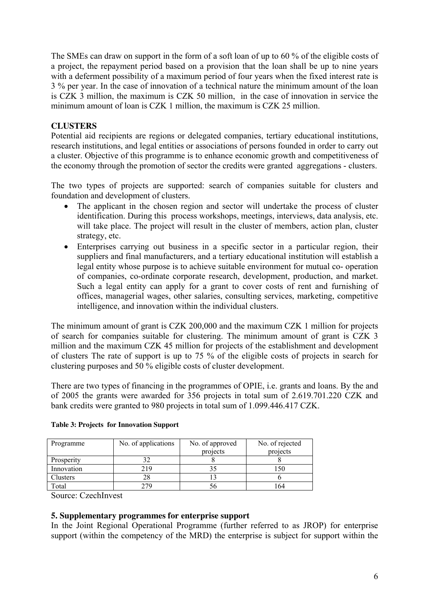The SMEs can draw on support in the form of a soft loan of up to 60 % of the eligible costs of a project, the repayment period based on a provision that the loan shall be up to nine years with a deferment possibility of a maximum period of four years when the fixed interest rate is 3 % per year. In the case of innovation of a technical nature the minimum amount of the loan is CZK 3 million, the maximum is CZK 50 million, in the case of innovation in service the minimum amount of loan is CZK 1 million, the maximum is CZK 25 million.

# **CLUSTERS**

Potential aid recipients are regions or delegated companies, tertiary educational institutions, research institutions, and legal entities or associations of persons founded in order to carry out a cluster. Objective of this programme is to enhance economic growth and competitiveness of the economy through the promotion of sector the credits were granted aggregations - clusters.

The two types of projects are supported: search of companies suitable for clusters and foundation and development of clusters.

- The applicant in the chosen region and sector will undertake the process of cluster identification. During this process workshops, meetings, interviews, data analysis, etc. will take place. The project will result in the cluster of members, action plan, cluster strategy, etc.
- Enterprises carrying out business in a specific sector in a particular region, their suppliers and final manufacturers, and a tertiary educational institution will establish a legal entity whose purpose is to achieve suitable environment for mutual co- operation of companies, co-ordinate corporate research, development, production, and market. Such a legal entity can apply for a grant to cover costs of rent and furnishing of offices, managerial wages, other salaries, consulting services, marketing, competitive intelligence, and innovation within the individual clusters.

The minimum amount of grant is CZK 200,000 and the maximum CZK 1 million for projects of search for companies suitable for clustering. The minimum amount of grant is CZK 3 million and the maximum CZK 45 million for projects of the establishment and development of clusters The rate of support is up to 75 % of the eligible costs of projects in search for clustering purposes and 50 % eligible costs of cluster development.

There are two types of financing in the programmes of OPIE, i.e. grants and loans. By the and of 2005 the grants were awarded for 356 projects in total sum of 2.619.701.220 CZK and bank credits were granted to 980 projects in total sum of 1.099.446.417 CZK.

| Programme  | No. of applications | No. of approved<br>projects | No. of rejected<br>projects |
|------------|---------------------|-----------------------------|-----------------------------|
| Prosperity |                     |                             |                             |
| Innovation | 219                 |                             |                             |
| Clusters   | 28                  |                             |                             |
| Total      | '79                 |                             | 64                          |

#### **Table 3: Projects for Innovation Support**

Source: CzechInvest

### **5. Supplementary programmes for enterprise support**

In the Joint Regional Operational Programme (further referred to as JROP) for enterprise support (within the competency of the MRD) the enterprise is subject for support within the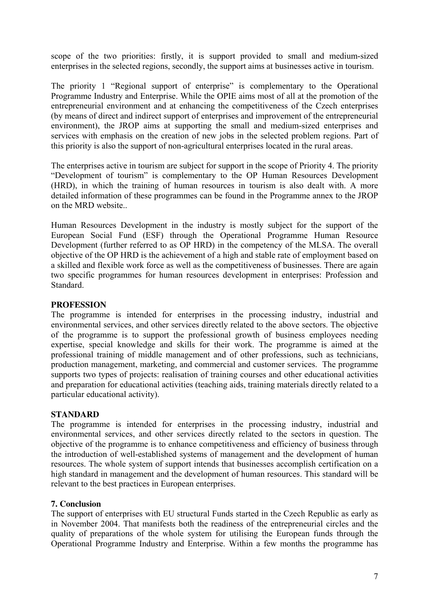scope of the two priorities: firstly, it is support provided to small and medium-sized enterprises in the selected regions, secondly, the support aims at businesses active in tourism.

The priority 1 "Regional support of enterprise" is complementary to the Operational Programme Industry and Enterprise. While the OPIE aims most of all at the promotion of the entrepreneurial environment and at enhancing the competitiveness of the Czech enterprises (by means of direct and indirect support of enterprises and improvement of the entrepreneurial environment), the JROP aims at supporting the small and medium-sized enterprises and services with emphasis on the creation of new jobs in the selected problem regions. Part of this priority is also the support of non-agricultural enterprises located in the rural areas.

The enterprises active in tourism are subject for support in the scope of Priority 4. The priority "Development of tourism" is complementary to the OP Human Resources Development (HRD), in which the training of human resources in tourism is also dealt with. A more detailed information of these programmes can be found in the Programme annex to the JROP on the MRD website..

Human Resources Development in the industry is mostly subject for the support of the European Social Fund (ESF) through the Operational Programme Human Resource Development (further referred to as OP HRD) in the competency of the MLSA. The overall objective of the OP HRD is the achievement of a high and stable rate of employment based on a skilled and flexible work force as well as the competitiveness of businesses. There are again two specific programmes for human resources development in enterprises: Profession and Standard.

### **PROFESSION**

The programme is intended for enterprises in the processing industry, industrial and environmental services, and other services directly related to the above sectors. The objective of the programme is to support the professional growth of business employees needing expertise, special knowledge and skills for their work. The programme is aimed at the professional training of middle management and of other professions, such as technicians, production management, marketing, and commercial and customer services. The programme supports two types of projects: realisation of training courses and other educational activities and preparation for educational activities (teaching aids, training materials directly related to a particular educational activity).

### **STANDARD**

The programme is intended for enterprises in the processing industry, industrial and environmental services, and other services directly related to the sectors in question. The objective of the programme is to enhance competitiveness and efficiency of business through the introduction of well-established systems of management and the development of human resources. The whole system of support intends that businesses accomplish certification on a high standard in management and the development of human resources. This standard will be relevant to the best practices in European enterprises.

### **7. Conclusion**

The support of enterprises with EU structural Funds started in the Czech Republic as early as in November 2004. That manifests both the readiness of the entrepreneurial circles and the quality of preparations of the whole system for utilising the European funds through the Operational Programme Industry and Enterprise. Within a few months the programme has